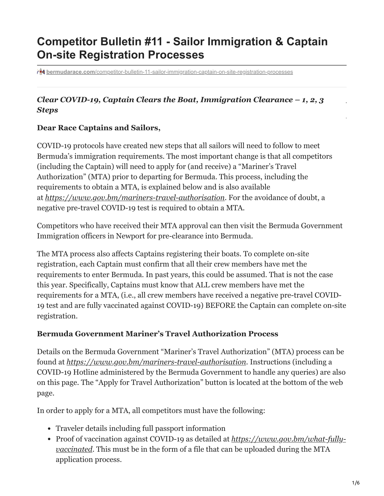# **Competitor Bulletin #11 - Sailor Immigration & Captain On-site Registration Processes**

**bermudarace.com[/competitor-bulletin-11-sailor-immigration-captain-on-site-registration-processes](https://bermudarace.com/competitor-bulletin-11-sailor-immigration-captain-on-site-registration-processes/)** 

## *Clear COVID-19, Captain Clears the Boat, Immigration Clearance – 1, 2, 3 Steps*

#### **Dear Race Captains and Sailors,**

COVID-19 protocols have created new steps that all sailors will need to follow to meet Bermuda's immigration requirements. The most important change is that all competitors (including the Captain) will need to apply for (and receive) a "Mariner's Travel Authorization" (MTA) prior to departing for Bermuda. This process, including the requirements to obtain a MTA, is explained below and is also available at *<https://www.gov.bm/mariners-travel-authorisation>*. For the avoidance of doubt, a negative pre-travel COVID-19 test is required to obtain a MTA.

Competitors who have received their MTA approval can then visit the Bermuda Government Immigration officers in Newport for pre-clearance into Bermuda.

The MTA process also affects Captains registering their boats. To complete on-site registration, each Captain must confirm that all their crew members have met the requirements to enter Bermuda. In past years, this could be assumed. That is not the case this year. Specifically, Captains must know that ALL crew members have met the requirements for a MTA, (i.e., all crew members have received a negative pre-travel COVID-19 test and are fully vaccinated against COVID-19) BEFORE the Captain can complete on-site registration.

### **Bermuda Government Mariner's Travel Authorization Process**

Details on the Bermuda Government "Mariner's Travel Authorization" (MTA) process can be found at *<https://www.gov.bm/mariners-travel-authorisation>*. Instructions (including a COVID-19 Hotline administered by the Bermuda Government to handle any queries) are also on this page. The "Apply for Travel Authorization" button is located at the bottom of the web page.

In order to apply for a MTA, all competitors must have the following:

- Traveler details including full passport information
- Proof of vaccination against COVID-19 as detailed at *https://www.gov.bm/what-fullyvaccinated*[. This must be in the form of a file that can be uploaded during the MTA](https://www.gov.bm/what-fully-vaccinated) application process.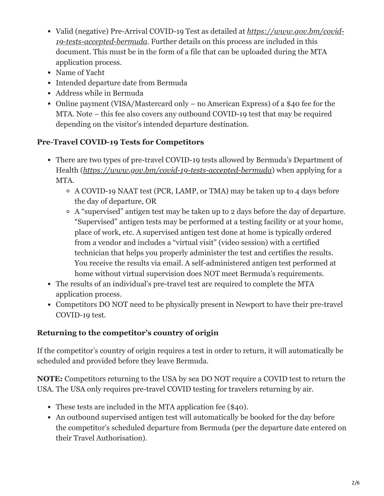- [Valid \(negative\) Pre-Arrival COVID-19 Test as detailed at](https://www.gov.bm/covid-19-tests-accepted-bermuda) *https://www.gov.bm/covid-19-tests-accepted-bermuda*. Further details on this process are included in this document. This must be in the form of a file that can be uploaded during the MTA application process.
- Name of Yacht
- Intended departure date from Bermuda
- Address while in Bermuda
- Online payment (VISA/Mastercard only no American Express) of a \$40 fee for the MTA. Note – this fee also covers any outbound COVID-19 test that may be required depending on the visitor's intended departure destination.

# **Pre-Travel COVID-19 Tests for Competitors**

- There are two types of pre-travel COVID-19 tests allowed by Bermuda's Department of Health (*<https://www.gov.bm/covid-19-tests-accepted-bermuda>*) when applying for a MTA.
	- A COVID-19 NAAT test (PCR, LAMP, or TMA) may be taken up to 4 days before the day of departure, OR
	- A "supervised" antigen test may be taken up to 2 days before the day of departure. "Supervised" antigen tests may be performed at a testing facility or at your home, place of work, etc. A supervised antigen test done at home is typically ordered from a vendor and includes a "virtual visit" (video session) with a certified technician that helps you properly administer the test and certifies the results. You receive the results via email. A self-administered antigen test performed at home without virtual supervision does NOT meet Bermuda's requirements.
- The results of an individual's pre-travel test are required to complete the MTA application process.
- Competitors DO NOT need to be physically present in Newport to have their pre-travel COVID-19 test.

## **Returning to the competitor's country of origin**

If the competitor's country of origin requires a test in order to return, it will automatically be scheduled and provided before they leave Bermuda.

**NOTE:** Competitors returning to the USA by sea DO NOT require a COVID test to return the USA. The USA only requires pre-travel COVID testing for travelers returning by air.

- These tests are included in the MTA application fee (\$40).
- An outbound supervised antigen test will automatically be booked for the day before the competitor's scheduled departure from Bermuda (per the departure date entered on their Travel Authorisation).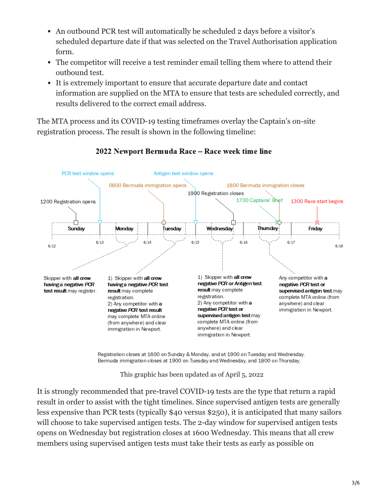- An outbound PCR test will automatically be scheduled 2 days before a visitor's scheduled departure date if that was selected on the Travel Authorisation application form.
- The competitor will receive a test reminder email telling them where to attend their outbound test.
- It is extremely important to ensure that accurate departure date and contact information are supplied on the MTA to ensure that tests are scheduled correctly, and results delivered to the correct email address.

The MTA process and its COVID-19 testing timeframes overlay the Captain's on-site registration process. The result is shown in the following timeline:



### 2022 Newport Bermuda Race - Race week time line

Registration closes at 1600 on Sunday & Monday, and at 1900 on Tuesday and Wednesday. Bermuda immigration closes at 1900 on Tuesday and Wednesday, and 1800 on Thursday.

This graphic has been updated as of April 5, 2022

It is strongly recommended that pre-travel COVID-19 tests are the type that return a rapid result in order to assist with the tight timelines. Since supervised antigen tests are generally less expensive than PCR tests (typically \$40 versus \$250), it is anticipated that many sailors will choose to take supervised antigen tests. The 2-day window for supervised antigen tests opens on Wednesday but registration closes at 1600 Wednesday. This means that all crew members using supervised antigen tests must take their tests as early as possible on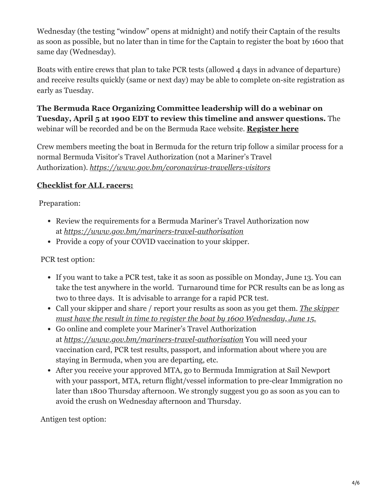Wednesday (the testing "window" opens at midnight) and notify their Captain of the results as soon as possible, but no later than in time for the Captain to register the boat by 1600 that same day (Wednesday).

Boats with entire crews that plan to take PCR tests (allowed 4 days in advance of departure) and receive results quickly (same or next day) may be able to complete on-site registration as early as Tuesday.

**The Bermuda Race Organizing Committee leadership will do a webinar on Tuesday, April 5 at 1900 EDT to review this timeline and answer questions.** The webinar will be recorded and be on the Bermuda Race website. **[Register here](https://us02web.zoom.us/webinar/register/WN_u-EkALARQe-U3X5y9Fm4Xg)**

Crew members meeting the boat in Bermuda for the return trip follow a similar process for a normal Bermuda Visitor's Travel Authorization (not a Mariner's Travel Authorization). *<https://www.gov.bm/coronavirus-travellers-visitors>*

## **Checklist for ALL racers:**

Preparation:

- Review the requirements for a Bermuda Mariner's Travel Authorization now at *<https://www.gov.bm/mariners-travel-authorisation>*
- Provide a copy of your COVID vaccination to your skipper.

PCR test option:

- If you want to take a PCR test, take it as soon as possible on Monday, June 13. You can take the test anywhere in the world. Turnaround time for PCR results can be as long as two to three days. It is advisable to arrange for a rapid PCR test.
- Call your skipper and share / report your results as soon as you get them. *The skipper must have the result in time to register the boat by 1600 Wednesday, June 15.*
- Go online and complete your Mariner's Travel Authorization at *<https://www.gov.bm/mariners-travel-authorisation>* You will need your vaccination card, PCR test results, passport, and information about where you are staying in Bermuda, when you are departing, etc.
- After you receive your approved MTA, go to Bermuda Immigration at Sail Newport with your passport, MTA, return flight/vessel information to pre-clear Immigration no later than 1800 Thursday afternoon. We strongly suggest you go as soon as you can to avoid the crush on Wednesday afternoon and Thursday.

Antigen test option: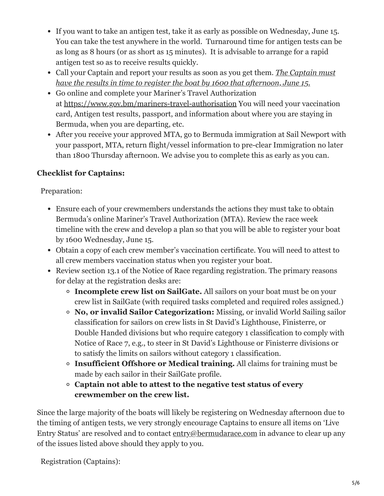- If you want to take an antigen test, take it as early as possible on Wednesday, June 15. You can take the test anywhere in the world. Turnaround time for antigen tests can be as long as 8 hours (or as short as 15 minutes). It is advisable to arrange for a rapid antigen test so as to receive results quickly.
- Call your Captain and report your results as soon as you get them. *The Captain must have the results in time to register the boat by 1600 that afternoon, June 15.*
- Go online and complete your Mariner's Travel Authorization at<https://www.gov.bm/mariners-travel-authorisation> You will need your vaccination card, Antigen test results, passport, and information about where you are staying in Bermuda, when you are departing, etc.
- After you receive your approved MTA, go to Bermuda immigration at Sail Newport with your passport, MTA, return flight/vessel information to pre-clear Immigration no later than 1800 Thursday afternoon. We advise you to complete this as early as you can.

# **Checklist for Captains:**

Preparation:

- Ensure each of your crewmembers understands the actions they must take to obtain Bermuda's online Mariner's Travel Authorization (MTA). Review the race week timeline with the crew and develop a plan so that you will be able to register your boat by 1600 Wednesday, June 15.
- Obtain a copy of each crew member's vaccination certificate. You will need to attest to all crew members vaccination status when you register your boat.
- Review section 13.1 of the Notice of Race regarding registration. The primary reasons for delay at the registration desks are:
	- **Incomplete crew list on SailGate.** All sailors on your boat must be on your crew list in SailGate (with required tasks completed and required roles assigned.)
	- **No, or invalid Sailor Categorization:** Missing, or invalid World Sailing sailor classification for sailors on crew lists in St David's Lighthouse, Finisterre, or Double Handed divisions but who require category 1 classification to comply with Notice of Race 7, e.g., to steer in St David's Lighthouse or Finisterre divisions or to satisfy the limits on sailors without category 1 classification.
	- **Insufficient Offshore or Medical training.** All claims for training must be made by each sailor in their SailGate profile.
	- **Captain not able to attest to the negative test status of every crewmember on the crew list.**

Since the large majority of the boats will likely be registering on Wednesday afternoon due to the timing of antigen tests, we very strongly encourage Captains to ensure all items on 'Live Entry Status' are resolved and to contact [entry@bermudarace.com](mailto:entry@bermudarace.com) in advance to clear up any of the issues listed above should they apply to you.

Registration (Captains):